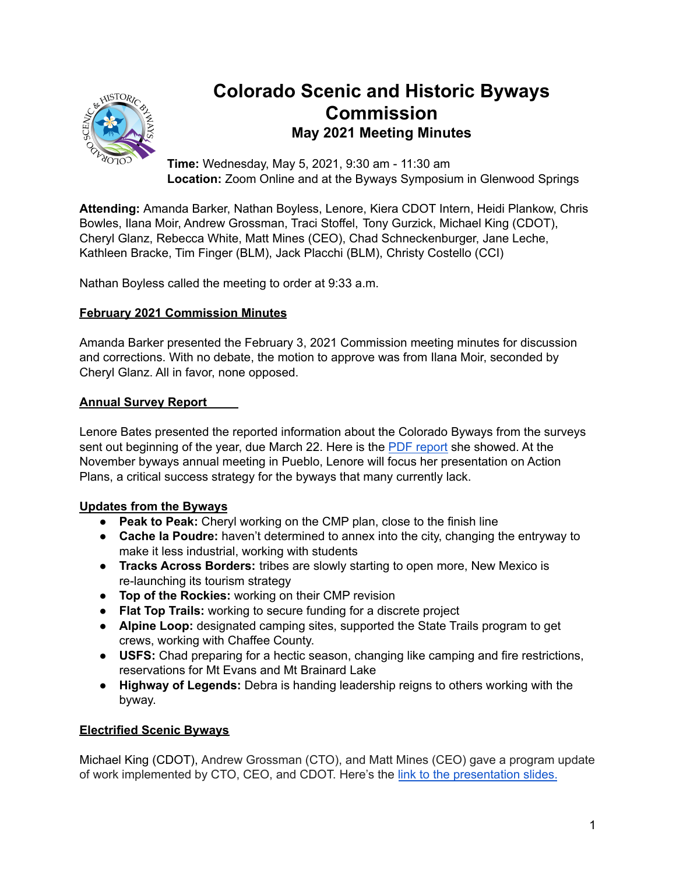

# **Colorado Scenic and Historic Byways Commission May 2021 Meeting Minutes**

**Time:** Wednesday, May 5, 2021, 9:30 am - 11:30 am **Location:** Zoom Online and at the Byways Symposium in Glenwood Springs

**Attending:** Amanda Barker, Nathan Boyless, Lenore, Kiera CDOT Intern, Heidi Plankow, Chris Bowles, Ilana Moir, Andrew Grossman, Traci Stoffel, Tony Gurzick, Michael King (CDOT), Cheryl Glanz, Rebecca White, Matt Mines (CEO), Chad Schneckenburger, Jane Leche, Kathleen Bracke, Tim Finger (BLM), Jack Placchi (BLM), Christy Costello (CCI)

Nathan Boyless called the meeting to order at 9:33 a.m.

## **February 2021 Commission Minutes**

Amanda Barker presented the February 3, 2021 Commission meeting minutes for discussion and corrections. With no debate, the motion to approve was from Ilana Moir, seconded by Cheryl Glanz. All in favor, none opposed.

### **Annual Survey Report**

Lenore Bates presented the reported information about the Colorado Byways from the surveys sent out beginning of the year, due March 22. Here is the PDF [report](https://drive.google.com/file/d/1yjhdYRWIQuw-kvcB3zFN2jrG4pxrqLXu/view?usp=sharing) she showed. At the November byways annual meeting in Pueblo, Lenore will focus her presentation on Action Plans, a critical success strategy for the byways that many currently lack.

## **Updates from the Byways**

- **Peak to Peak:** Cheryl working on the CMP plan, close to the finish line
- **Cache la Poudre:** haven't determined to annex into the city, changing the entryway to make it less industrial, working with students
- **Tracks Across Borders:** tribes are slowly starting to open more, New Mexico is re-launching its tourism strategy
- **Top of the Rockies:** working on their CMP revision
- **Flat Top Trails:** working to secure funding for a discrete project
- **Alpine Loop:** designated camping sites, supported the State Trails program to get crews, working with Chaffee County.
- **USFS:** Chad preparing for a hectic season, changing like camping and fire restrictions, reservations for Mt Evans and Mt Brainard Lake
- **Highway of Legends:** Debra is handing leadership reigns to others working with the byway.

#### **Electrified Scenic Byways**

Michael King (CDOT), Andrew Grossman (CTO), and Matt Mines (CEO) gave a program update of work implemented by CTO, CEO, and CDOT. Here's the link to the [presentation](https://drive.google.com/file/d/1Sm3ZEcL_pWAGfL0Y8xOc4-VqmH-V-sI4/view?usp=sharing) slides.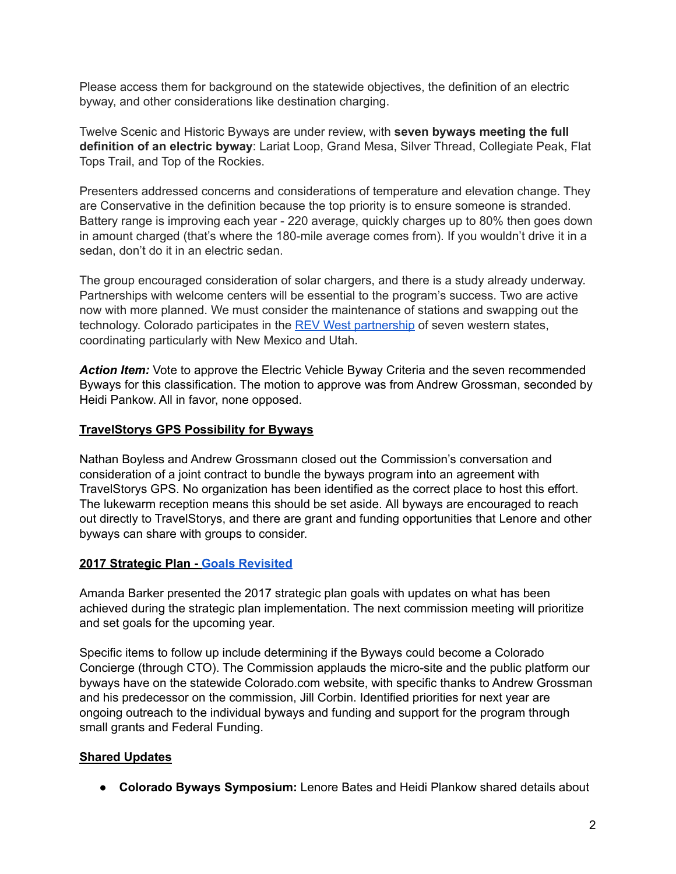Please access them for background on the statewide objectives, the definition of an electric byway, and other considerations like destination charging.

Twelve Scenic and Historic Byways are under review, with **seven byways meeting the full definition of an electric byway**: Lariat Loop, Grand Mesa, Silver Thread, Collegiate Peak, Flat Tops Trail, and Top of the Rockies.

Presenters addressed concerns and considerations of temperature and elevation change. They are Conservative in the definition because the top priority is to ensure someone is stranded. Battery range is improving each year - 220 average, quickly charges up to 80% then goes down in amount charged (that's where the 180-mile average comes from). If you wouldn't drive it in a sedan, don't do it in an electric sedan.

The group encouraged consideration of solar chargers, and there is a study already underway. Partnerships with welcome centers will be essential to the program's success. Two are active now with more planned. We must consider the maintenance of stations and swapping out the technology. Colorado participates in the REV West [partnership](https://www.naseo.org/issues/transportation/rev-west) of seven western states, coordinating particularly with New Mexico and Utah.

Action *Item:* Vote to approve the Electric Vehicle Byway Criteria and the seven recommended Byways for this classification. The motion to approve was from Andrew Grossman, seconded by Heidi Pankow. All in favor, none opposed.

#### **TravelStorys GPS Possibility for Byways**

Nathan Boyless and Andrew Grossmann closed out the Commission's conversation and consideration of a joint contract to bundle the byways program into an agreement with TravelStorys GPS. No organization has been identified as the correct place to host this effort. The lukewarm reception means this should be set aside. All byways are encouraged to reach out directly to TravelStorys, and there are grant and funding opportunities that Lenore and other byways can share with groups to consider.

#### **2017 Strategic Plan - Goals [Revisited](https://docs.google.com/spreadsheets/d/1HHWXVaMkwMpv_MBFt8qwkqOOs3bDnRC00PrbK8sIWgo/edit?usp=sharing)**

Amanda Barker presented the 2017 strategic plan goals with updates on what has been achieved during the strategic plan implementation. The next commission meeting will prioritize and set goals for the upcoming year.

Specific items to follow up include determining if the Byways could become a Colorado Concierge (through CTO). The Commission applauds the micro-site and the public platform our byways have on the statewide Colorado.com website, with specific thanks to Andrew Grossman and his predecessor on the commission, Jill Corbin. Identified priorities for next year are ongoing outreach to the individual byways and funding and support for the program through small grants and Federal Funding.

#### **Shared Updates**

● **Colorado Byways Symposium:** Lenore Bates and Heidi Plankow shared details about